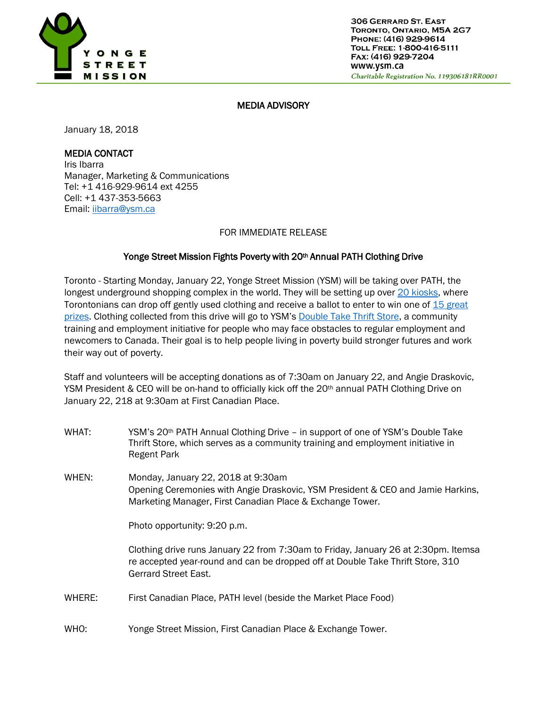

### MEDIA ADVISORY

January 18, 2018

# MEDIA CONTACT

Iris Ibarra Manager, Marketing & Communications Tel: +1 416-929-9614 ext 4255 Cell: +1 437-353-5663 Email: [iibarra@ysm.ca](mailto:iibarra@ysm.ca) 

#### FOR IMMEDIATE RELEASE

## Yonge Street Mission Fights Poverty with 20<sup>th</sup> Annual PATH Clothing Drive

Toronto - Starting Monday, January 22, Yonge Street Mission (YSM) will be taking over PATH, the longest underground shopping complex in the world. They will be setting up over [20 kiosks,](http://bit.ly/2DNjj9b) where Torontonians can drop off gently used clothing and receive a ballot to enter to win one of 15 great [prizes.](http://bit.ly/2G0kpiC) Clothing collected from this drive will go to YSM's [Double Take Thrift Store,](https://www.ysm.ca/learn/programs/double-take/) a community training and employment initiative for people who may face obstacles to regular employment and newcomers to Canada. Their goal is to help people living in poverty build stronger futures and work their way out of poverty.

Staff and volunteers will be accepting donations as of 7:30am on January 22, and Angie Draskovic, YSM President & CEO will be on-hand to officially kick off the 20<sup>th</sup> annual PATH Clothing Drive on January 22, 218 at 9:30am at First Canadian Place.

- WHAT: YSM's 20th PATH Annual Clothing Drive – in support of one of YSM's Double Take Thrift Store, which serves as a community training and employment initiative in Regent Park
- WHEN: Monday, January 22, 2018 at 9:30am Opening Ceremonies with Angie Draskovic, YSM President & CEO and Jamie Harkins, Marketing Manager, First Canadian Place & Exchange Tower.

Photo opportunity: 9:20 p.m.

Clothing drive runs January 22 from 7:30am to Friday, January 26 at 2:30pm. Itemsa re accepted year-round and can be dropped off at Double Take Thrift Store, 310 Gerrard Street East.

- WHERE: First Canadian Place, PATH level (beside the Market Place Food)
- WHO: Yonge Street Mission, First Canadian Place & Exchange Tower.